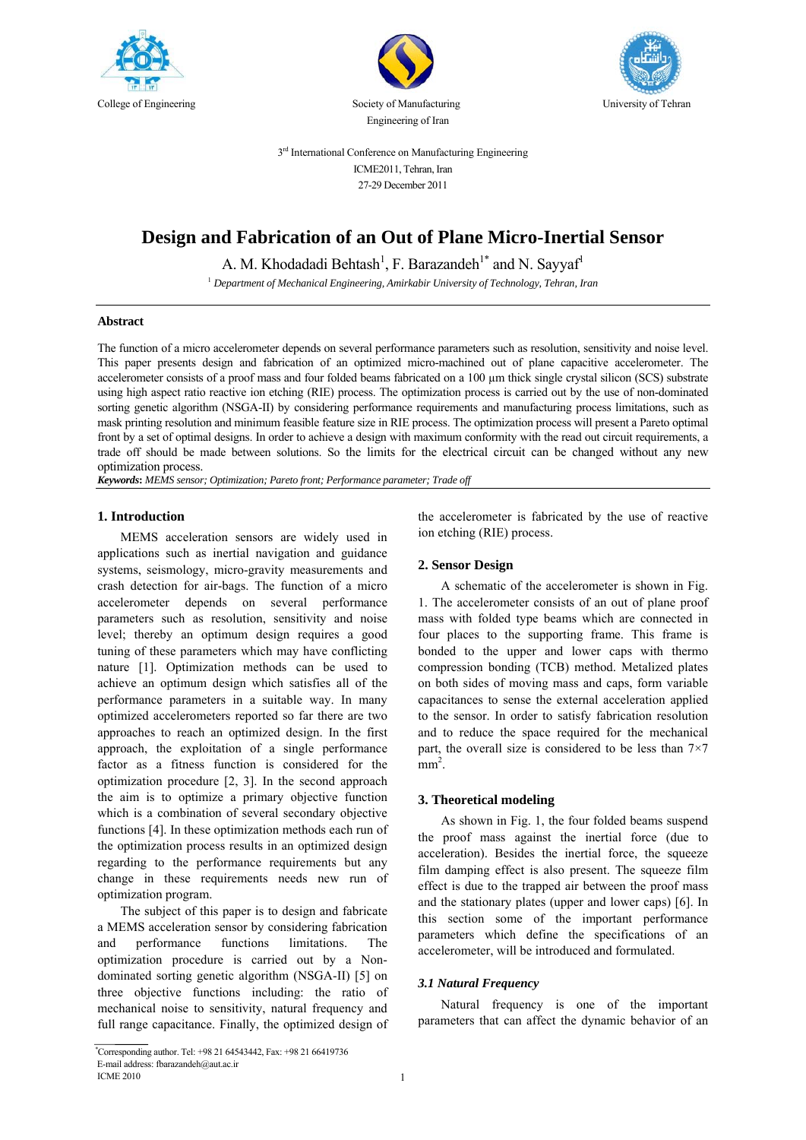





3<sup>rd</sup> International Conference on Manufacturing Engineering ICME2011, Tehran, Iran 27-29 December 2011

# **Design and Fabrication of an Out of Plane Micro-Inertial Sensor**

A. M. Khodadadi Behtash<sup>1</sup>, F. Barazandeh<sup>1\*</sup> and N. Sayyaf<sup>1</sup>

<sup>1</sup> *Department of Mechanical Engineering, Amirkabir University of Technology, Tehran, Iran* 

# **Abstract**

The function of a micro accelerometer depends on several performance parameters such as resolution, sensitivity and noise level. This paper presents design and fabrication of an optimized micro-machined out of plane capacitive accelerometer. The accelerometer consists of a proof mass and four folded beams fabricated on a 100  $\mu$ m thick single crystal silicon (SCS) substrate using high aspect ratio reactive ion etching (RIE) process. The optimization process is carried out by the use of non-dominated sorting genetic algorithm (NSGA-II) by considering performance requirements and manufacturing process limitations, such as mask printing resolution and minimum feasible feature size in RIE process. The optimization process will present a Pareto optimal front by a set of optimal designs. In order to achieve a design with maximum conformity with the read out circuit requirements, a trade off should be made between solutions. So the limits for the electrical circuit can be changed without any new optimization process.

*Keywords***:** *MEMS sensor; Optimization; Pareto front; Performance parameter; Trade off*

# **1. Introduction**

MEMS acceleration sensors are widely used in applications such as inertial navigation and guidance systems, seismology, micro-gravity measurements and crash detection for air-bags. The function of a micro accelerometer depends on several performance parameters such as resolution, sensitivity and noise level; thereby an optimum design requires a good tuning of these parameters which may have conflicting nature [1]. Optimization methods can be used to achieve an optimum design which satisfies all of the performance parameters in a suitable way. In many optimized accelerometers reported so far there are two approaches to reach an optimized design. In the first approach, the exploitation of a single performance factor as a fitness function is considered for the optimization procedure [2, 3]. In the second approach the aim is to optimize a primary objective function which is a combination of several secondary objective functions [4]. In these optimization methods each run of the optimization process results in an optimized design regarding to the performance requirements but any change in these requirements needs new run of optimization program.

The subject of this paper is to design and fabricate a MEMS acceleration sensor by considering fabrication and performance functions limitations. The optimization procedure is carried out by a Nondominated sorting genetic algorithm (NSGA-II) [5] on three objective functions including: the ratio of mechanical noise to sensitivity, natural frequency and full range capacitance. Finally, the optimized design of the accelerometer is fabricated by the use of reactive ion etching (RIE) process.

# **2. Sensor Design**

A schematic of the accelerometer is shown in Fig. 1. The accelerometer consists of an out of plane proof mass with folded type beams which are connected in four places to the supporting frame. This frame is bonded to the upper and lower caps with thermo compression bonding (TCB) method. Metalized plates on both sides of moving mass and caps, form variable capacitances to sense the external acceleration applied to the sensor. In order to satisfy fabrication resolution and to reduce the space required for the mechanical part, the overall size is considered to be less than  $7\times7$  $mm<sup>2</sup>$ .

## **3. Theoretical modeling**

As shown in Fig. 1, the four folded beams suspend the proof mass against the inertial force (due to acceleration). Besides the inertial force, the squeeze film damping effect is also present. The squeeze film effect is due to the trapped air between the proof mass and the stationary plates (upper and lower caps) [6]. In this section some of the important performance parameters which define the specifications of an accelerometer, will be introduced and formulated.

## *3.1 Natural Frequency*

Natural frequency is one of the important parameters that can affect the dynamic behavior of an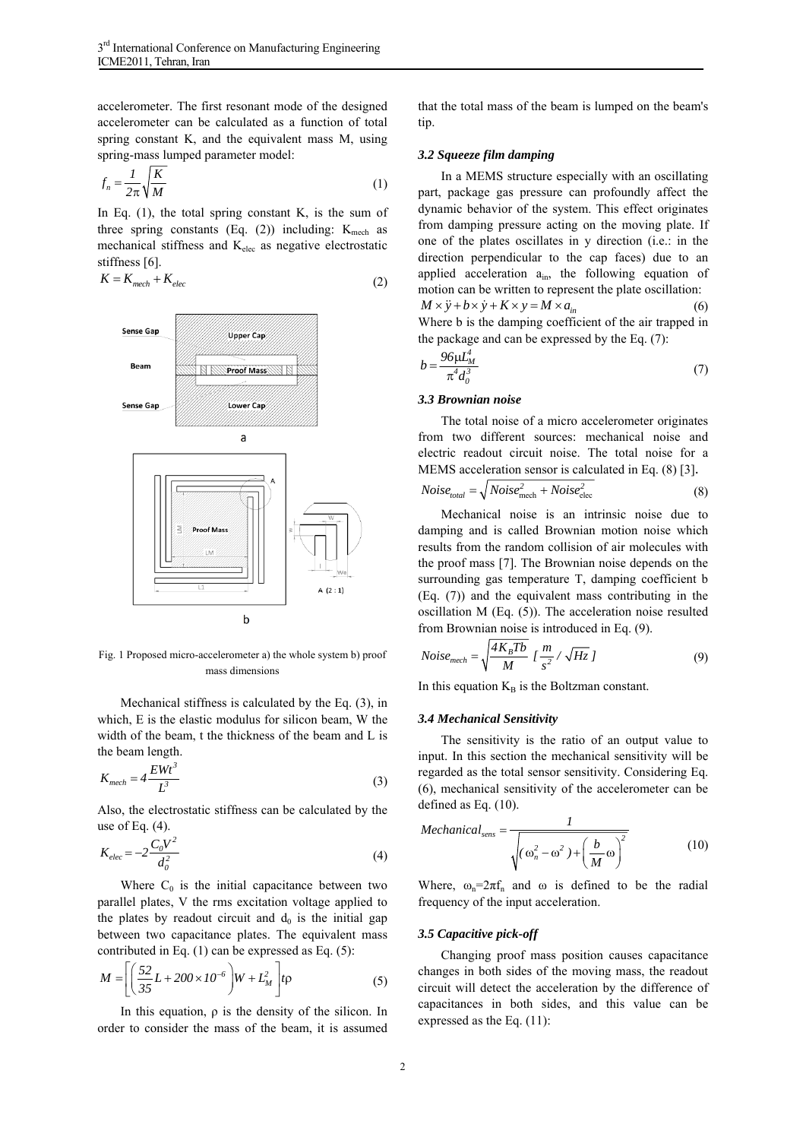accelerometer. The first resonant mode of the designed accelerometer can be calculated as a function of total spring constant K, and the equivalent mass M, using spring-mass lumped parameter model:

$$
f_n = \frac{1}{2\pi} \sqrt{\frac{K}{M}}
$$
 (1)

In Eq.  $(1)$ , the total spring constant K, is the sum of three spring constants (Eq. (2)) including:  $K_{\text{mech}}$  as mechanical stiffness and Kelec as negative electrostatic stiffness [6].

$$
K = K_{mech} + K_{elec}
$$
 (2)



Fig. 1 Proposed micro-accelerometer a) the whole system b) proof mass dimensions

Mechanical stiffness is calculated by the Eq. (3), in which, E is the elastic modulus for silicon beam, W the width of the beam, t the thickness of the beam and L is the beam length.

$$
K_{mech} = 4 \frac{E W t^3}{L^3} \tag{3}
$$

Also, the electrostatic stiffness can be calculated by the use of Eq.  $(4)$ .

$$
K_{elec} = -2 \frac{C_0 V^2}{d_0^2}
$$
 (4)

Where  $C_0$  is the initial capacitance between two parallel plates, V the rms excitation voltage applied to the plates by readout circuit and  $d_0$  is the initial gap between two capacitance plates. The equivalent mass contributed in Eq. (1) can be expressed as Eq. (5):

$$
M = \left[ \left( \frac{52}{35} L + 200 \times 10^{-6} \right) W + L_M^2 \right] t \rho
$$
 (5)

In this equation,  $\rho$  is the density of the silicon. In order to consider the mass of the beam, it is assumed that the total mass of the beam is lumped on the beam's tip.

## *3.2 Squeeze film damping*

In a MEMS structure especially with an oscillating part, package gas pressure can profoundly affect the dynamic behavior of the system. This effect originates from damping pressure acting on the moving plate. If one of the plates oscillates in y direction (i.e.: in the direction perpendicular to the cap faces) due to an applied acceleration a<sub>in</sub>, the following equation of motion can be written to represent the plate oscillation:  $M \times \ddot{y} + b \times \dot{y} + K \times y = M \times a_{in}$  (6)

Where b is the damping coefficient of the air trapped in the package and can be expressed by the Eq. (7):

$$
b = \frac{96\mu L_M^4}{\pi^4 d_o^3} \tag{7}
$$

#### *3.3 Brownian noise*

The total noise of a micro accelerometer originates from two different sources: mechanical noise and electric readout circuit noise. The total noise for a MEMS acceleration sensor is calculated in Eq. (8) [3].

$$
Noise_{total} = \sqrt{Noise_{mech}^2 + Noise_{elec}^2}
$$
 (8)

Mechanical noise is an intrinsic noise due to damping and is called Brownian motion noise which results from the random collision of air molecules with the proof mass [7]. The Brownian noise depends on the surrounding gas temperature T, damping coefficient b (Eq. (7)) and the equivalent mass contributing in the oscillation M (Eq. (5)). The acceleration noise resulted from Brownian noise is introduced in Eq. (9).

$$
Noise_{mech} = \sqrt{\frac{4K_B Tb}{M}} \left[ \frac{m}{s^2} / \sqrt{Hz} \right]
$$
 (9)

In this equation  $K_B$  is the Boltzman constant.

## *3.4 Mechanical Sensitivity*

The sensitivity is the ratio of an output value to input. In this section the mechanical sensitivity will be regarded as the total sensor sensitivity. Considering Eq. (6), mechanical sensitivity of the accelerometer can be defined as Eq. (10).

*Mechanical*<sub>sens</sub> = 
$$
\frac{1}{\sqrt{(\omega_n^2 - \omega^2) + (\frac{b}{M}\omega)^2}}
$$
(10)

Where,  $\omega_n = 2\pi f_n$  and  $\omega$  is defined to be the radial frequency of the input acceleration.

#### *3.5 Capacitive pick-off*

Changing proof mass position causes capacitance changes in both sides of the moving mass, the readout circuit will detect the acceleration by the difference of capacitances in both sides, and this value can be expressed as the Eq. (11):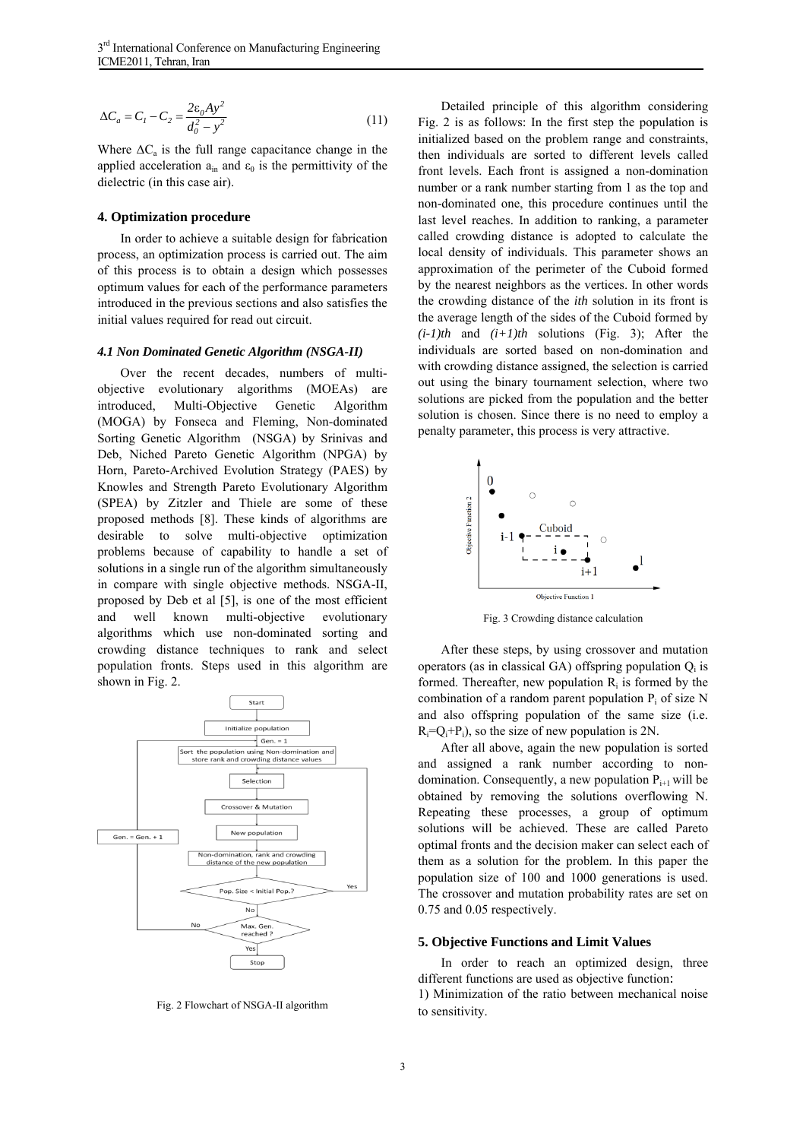$$
\Delta C_a = C_1 - C_2 = \frac{2\varepsilon_0 A y^2}{d_0^2 - y^2}
$$
 (11)

Where  $\Delta C_a$  is the full range capacitance change in the applied acceleration  $a_{in}$  and  $\varepsilon_0$  is the permittivity of the dielectric (in this case air).

### **4. Optimization procedure**

In order to achieve a suitable design for fabrication process, an optimization process is carried out. The aim of this process is to obtain a design which possesses optimum values for each of the performance parameters introduced in the previous sections and also satisfies the initial values required for read out circuit.

#### *4.1 Non Dominated Genetic Algorithm (NSGA-II)*

Over the recent decades, numbers of multiobjective evolutionary algorithms (MOEAs) are introduced, Multi-Objective Genetic Algorithm (MOGA) by Fonseca and Fleming, Non-dominated Sorting Genetic Algorithm (NSGA) by Srinivas and Deb, Niched Pareto Genetic Algorithm (NPGA) by Horn, Pareto-Archived Evolution Strategy (PAES) by Knowles and Strength Pareto Evolutionary Algorithm (SPEA) by Zitzler and Thiele are some of these proposed methods [8]. These kinds of algorithms are desirable to solve multi-objective optimization problems because of capability to handle a set of solutions in a single run of the algorithm simultaneously in compare with single objective methods. NSGA-II, proposed by Deb et al [5], is one of the most efficient and well known multi-objective evolutionary algorithms which use non-dominated sorting and crowding distance techniques to rank and select population fronts. Steps used in this algorithm are shown in Fig. 2.



Fig. 2 Flowchart of NSGA-II algorithm

Detailed principle of this algorithm considering Fig. 2 is as follows: In the first step the population is initialized based on the problem range and constraints, then individuals are sorted to different levels called front levels. Each front is assigned a non-domination number or a rank number starting from 1 as the top and non-dominated one, this procedure continues until the last level reaches. In addition to ranking, a parameter called crowding distance is adopted to calculate the local density of individuals. This parameter shows an approximation of the perimeter of the Cuboid formed by the nearest neighbors as the vertices. In other words the crowding distance of the *ith* solution in its front is the average length of the sides of the Cuboid formed by  $(i-1)$ th and  $(i+1)$ th solutions (Fig. 3); After the individuals are sorted based on non-domination and with crowding distance assigned, the selection is carried out using the binary tournament selection, where two solutions are picked from the population and the better solution is chosen. Since there is no need to employ a penalty parameter, this process is very attractive.



Fig. 3 Crowding distance calculation

After these steps, by using crossover and mutation operators (as in classical GA) offspring population  $Q_i$  is formed. Thereafter, new population  $R_i$  is formed by the combination of a random parent population  $P_i$  of size N and also offspring population of the same size (i.e.  $R_i = Q_i + P_i$ , so the size of new population is 2N.

After all above, again the new population is sorted and assigned a rank number according to nondomination. Consequently, a new population  $P_{i+1}$  will be obtained by removing the solutions overflowing N. Repeating these processes, a group of optimum solutions will be achieved. These are called Pareto optimal fronts and the decision maker can select each of them as a solution for the problem. In this paper the population size of 100 and 1000 generations is used. The crossover and mutation probability rates are set on 0.75 and 0.05 respectively.

#### **5. Objective Functions and Limit Values**

In order to reach an optimized design, three different functions are used as objective function: 1) Minimization of the ratio between mechanical noise to sensitivity.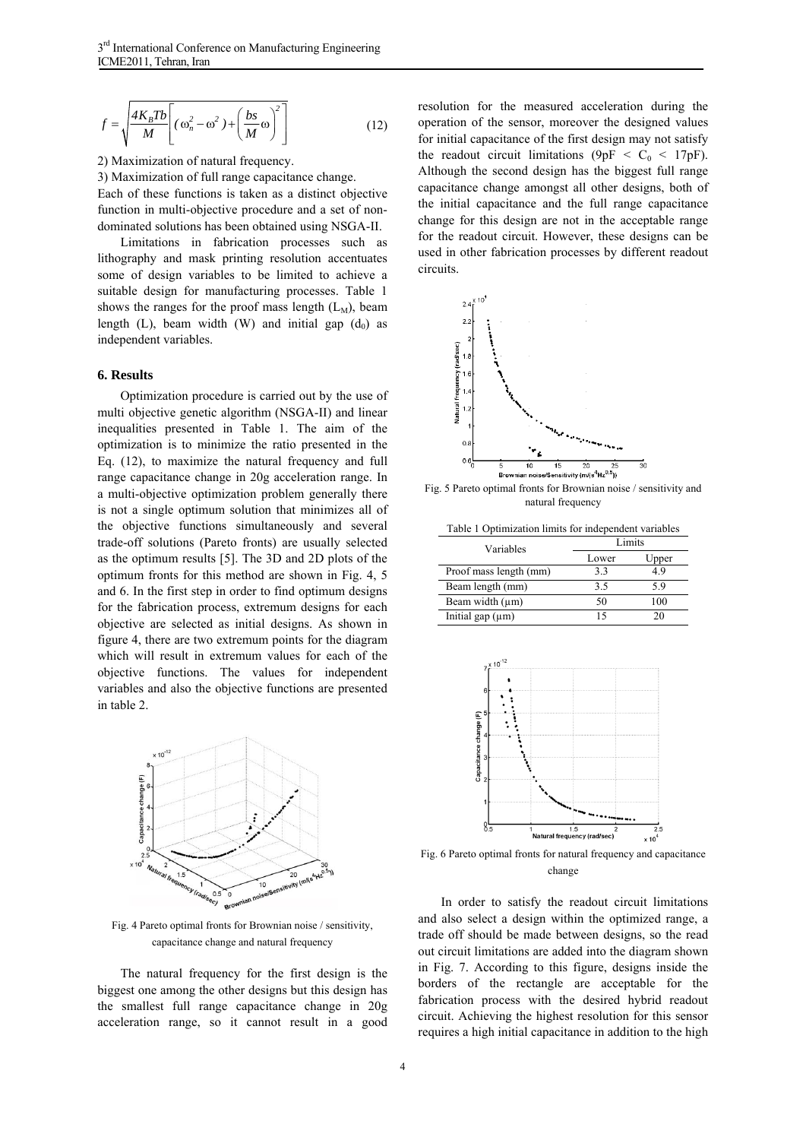$$
f = \sqrt{\frac{4K_B T b}{M}} \left[ (\omega_n^2 - \omega^2) + \left( \frac{bs}{M} \omega \right)^2 \right]
$$
 (12)

2) Maximization of natural frequency.

3) Maximization of full range capacitance change. Each of these functions is taken as a distinct objective function in multi-objective procedure and a set of nondominated solutions has been obtained using NSGA-II.

Limitations in fabrication processes such as lithography and mask printing resolution accentuates some of design variables to be limited to achieve a suitable design for manufacturing processes. Table 1 shows the ranges for the proof mass length  $(L_M)$ , beam length (L), beam width (W) and initial gap  $(d_0)$  as independent variables.

### **6. Results**

Optimization procedure is carried out by the use of multi objective genetic algorithm (NSGA-II) and linear inequalities presented in Table 1. The aim of the optimization is to minimize the ratio presented in the Eq. (12), to maximize the natural frequency and full range capacitance change in 20g acceleration range. In a multi-objective optimization problem generally there is not a single optimum solution that minimizes all of the objective functions simultaneously and several trade-off solutions (Pareto fronts) are usually selected as the optimum results [5]. The 3D and 2D plots of the optimum fronts for this method are shown in Fig. 4, 5 and 6. In the first step in order to find optimum designs for the fabrication process, extremum designs for each objective are selected as initial designs. As shown in figure 4, there are two extremum points for the diagram which will result in extremum values for each of the objective functions. The values for independent variables and also the objective functions are presented in table 2.



Fig. 4 Pareto optimal fronts for Brownian noise / sensitivity, capacitance change and natural frequency

The natural frequency for the first design is the biggest one among the other designs but this design has the smallest full range capacitance change in 20g acceleration range, so it cannot result in a good

resolution for the measured acceleration during the operation of the sensor, moreover the designed values for initial capacitance of the first design may not satisfy the readout circuit limitations (9pF <  $C_0$  < 17pF). Although the second design has the biggest full range capacitance change amongst all other designs, both of the initial capacitance and the full range capacitance change for this design are not in the acceptable range for the readout circuit. However, these designs can be used in other fabrication processes by different readout circuits.



Fig. 5 Pareto optimal fronts for Brownian noise / sensitivity and natural frequency

Table 1 Optimization limits for independent variables

| Variables              | Limits |       |  |  |
|------------------------|--------|-------|--|--|
|                        | Lower  | Upper |  |  |
| Proof mass length (mm) | 33     | 49    |  |  |
| Beam length (mm)       | 3.5    | 59    |  |  |
| Beam width $(\mu m)$   | 50     | 100   |  |  |
| Initial gap $(\mu m)$  | 15     | 20    |  |  |



Fig. 6 Pareto optimal fronts for natural frequency and capacitance change

In order to satisfy the readout circuit limitations and also select a design within the optimized range, a trade off should be made between designs, so the read out circuit limitations are added into the diagram shown in Fig. 7. According to this figure, designs inside the borders of the rectangle are acceptable for the fabrication process with the desired hybrid readout circuit. Achieving the highest resolution for this sensor requires a high initial capacitance in addition to the high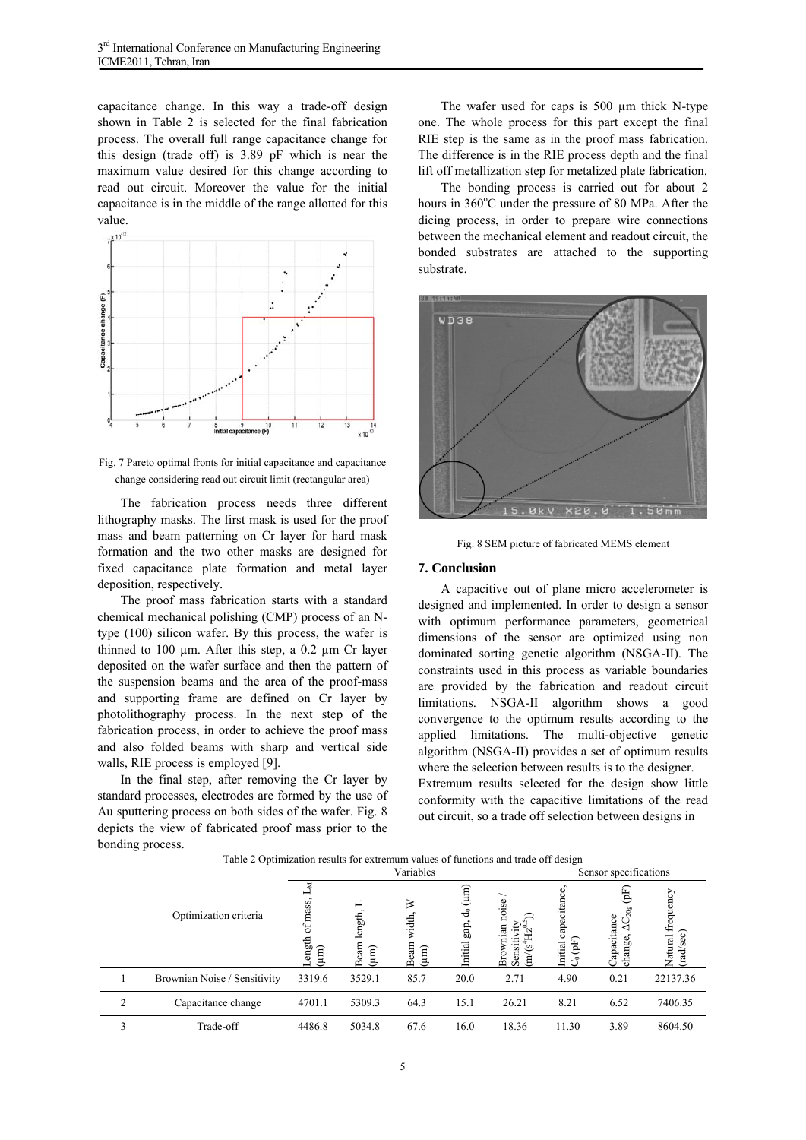capacitance change. In this way a trade-off design shown in Table 2 is selected for the final fabrication process. The overall full range capacitance change for this design (trade off) is 3.89 pF which is near the maximum value desired for this change according to read out circuit. Moreover the value for the initial capacitance is in the middle of the range allotted for this value.



Fig. 7 Pareto optimal fronts for initial capacitance and capacitance change considering read out circuit limit (rectangular area)

The fabrication process needs three different lithography masks. The first mask is used for the proof mass and beam patterning on Cr layer for hard mask formation and the two other masks are designed for fixed capacitance plate formation and metal layer deposition, respectively.

The proof mass fabrication starts with a standard chemical mechanical polishing (CMP) process of an Ntype (100) silicon wafer. By this process, the wafer is thinned to 100  $\mu$ m. After this step, a 0.2  $\mu$ m Cr layer deposited on the wafer surface and then the pattern of the suspension beams and the area of the proof-mass and supporting frame are defined on Cr layer by photolithography process. In the next step of the fabrication process, in order to achieve the proof mass and also folded beams with sharp and vertical side walls, RIE process is employed [9].

In the final step, after removing the Cr layer by standard processes, electrodes are formed by the use of Au sputtering process on both sides of the wafer. Fig. 8 depicts the view of fabricated proof mass prior to the bonding process.

The wafer used for caps is 500  $\mu$ m thick N-type one. The whole process for this part except the final RIE step is the same as in the proof mass fabrication. The difference is in the RIE process depth and the final lift off metallization step for metalized plate fabrication.

The bonding process is carried out for about 2 hours in 360°C under the pressure of 80 MPa. After the dicing process, in order to prepare wire connections between the mechanical element and readout circuit, the bonded substrates are attached to the supporting substrate.



Fig. 8 SEM picture of fabricated MEMS element

## **7. Conclusion**

A capacitive out of plane micro accelerometer is designed and implemented. In order to design a sensor with optimum performance parameters, geometrical dimensions of the sensor are optimized using non dominated sorting genetic algorithm (NSGA-II). The constraints used in this process as variable boundaries are provided by the fabrication and readout circuit limitations. NSGA-II algorithm shows a good convergence to the optimum results according to the applied limitations. The multi-objective genetic algorithm (NSGA-II) provides a set of optimum results where the selection between results is to the designer. Extremum results selected for the design show little conformity with the capacitive limitations of the read out circuit, so a trade off selection between designs in

| Table 2 Optimization results for extremum values of functions and trade off design |                              |                         |                            |                                   |                                                        |                                        |                                                               |                                     |          |  |
|------------------------------------------------------------------------------------|------------------------------|-------------------------|----------------------------|-----------------------------------|--------------------------------------------------------|----------------------------------------|---------------------------------------------------------------|-------------------------------------|----------|--|
|                                                                                    |                              | Variables               |                            |                                   |                                                        | Sensor specifications                  |                                                               |                                     |          |  |
| Optimization criteria                                                              | mass<br>Ъ<br>ength<br>(Eur   | −<br>Beam length<br>(mn | ≥<br>width,<br>Beam<br>(un | $(\mu m)$<br>ಕೆ<br>gap,<br>nitial | noise<br>nian<br>Sensitiv<br>$\ddot{+}$<br>m/s<br>Brow | capacitance<br>$\mathbf{B}$<br>Initial | $\mathfrak{E}$<br>$\Omega$<br>apacitance<br>◡<br>◁<br>change, | frequency<br>sec)<br>Natural<br>rad |          |  |
|                                                                                    | Brownian Noise / Sensitivity | 3319.6                  | 3529.1                     | 85.7                              | 20.0                                                   | 2.71                                   | 4.90                                                          | 0.21                                | 22137.36 |  |
| $\overline{c}$                                                                     | Capacitance change           | 4701.1                  | 5309.3                     | 64.3                              | 15.1                                                   | 26.21                                  | 8.21                                                          | 6.52                                | 7406.35  |  |
| 3                                                                                  | Trade-off                    | 4486.8                  | 5034.8                     | 67.6                              | 16.0                                                   | 18.36                                  | 11.30                                                         | 3.89                                | 8604.50  |  |